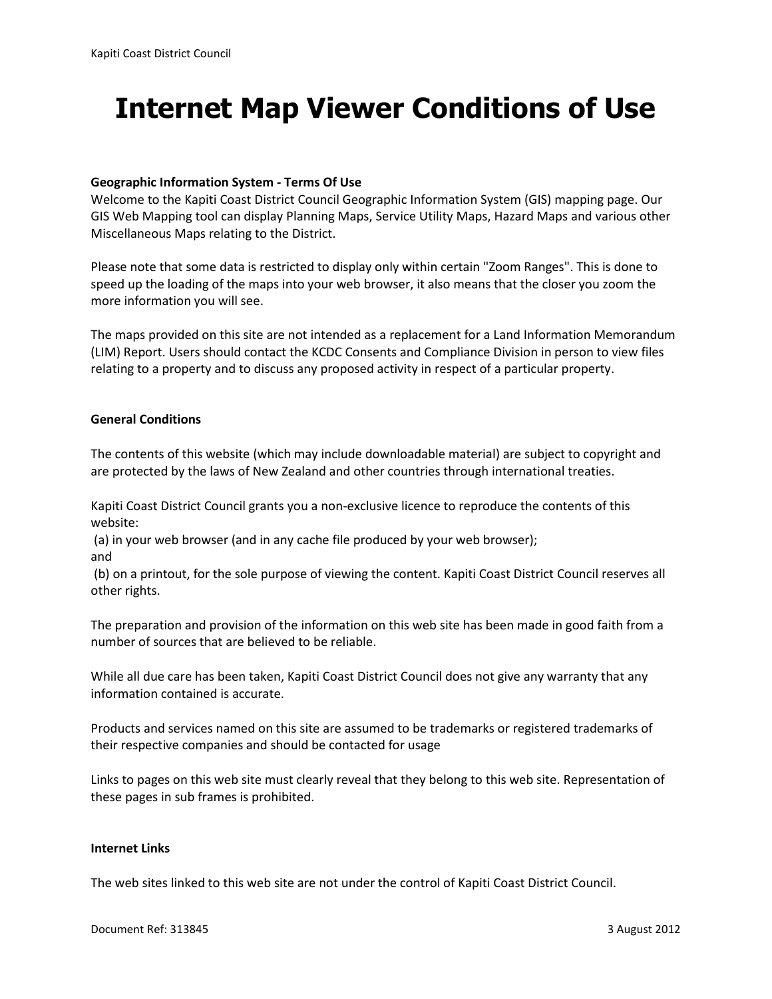# **Internet Map Viewer Conditions of Use**

#### **Geographic Information System - Terms Of Use**

Welcome to the Kapiti Coast District Council Geographic Information System (GIS) mapping page. Our GIS Web Mapping tool can display Planning Maps, Service Utility Maps, Hazard Maps and various other Miscellaneous Maps relating to the District.

Please note that some data is restricted to display only within certain "Zoom Ranges". This is done to speed up the loading of the maps into your web browser, it also means that the closer you zoom the more information you will see.

The maps provided on this site are not intended as a replacement for a Land Information Memorandum (LIM) Report. Users should contact the KCDC Consents and Compliance Division in person to view files relating to a property and to discuss any proposed activity in respect of a particular property.

### **General Conditions**

The contents of this website (which may include downloadable material) are subject to copyright and are protected by the laws of New Zealand and other countries through international treaties.

Kapiti Coast District Council grants you a non-exclusive licence to reproduce the contents of this website:

(a) in your web browser (and in any cache file produced by your web browser);

and

(b) on a printout, for the sole purpose of viewing the content. Kapiti Coast District Council reserves all other rights.

The preparation and provision of the information on this web site has been made in good faith from a number of sources that are believed to be reliable.

While all due care has been taken, Kapiti Coast District Council does not give any warranty that any information contained is accurate.

Products and services named on this site are assumed to be trademarks or registered trademarks of their respective companies and should be contacted for usage

Links to pages on this web site must clearly reveal that they belong to this web site. Representation of these pages in sub frames is prohibited.

#### **Internet Links**

The web sites linked to this web site are not under the control of Kapiti Coast District Council.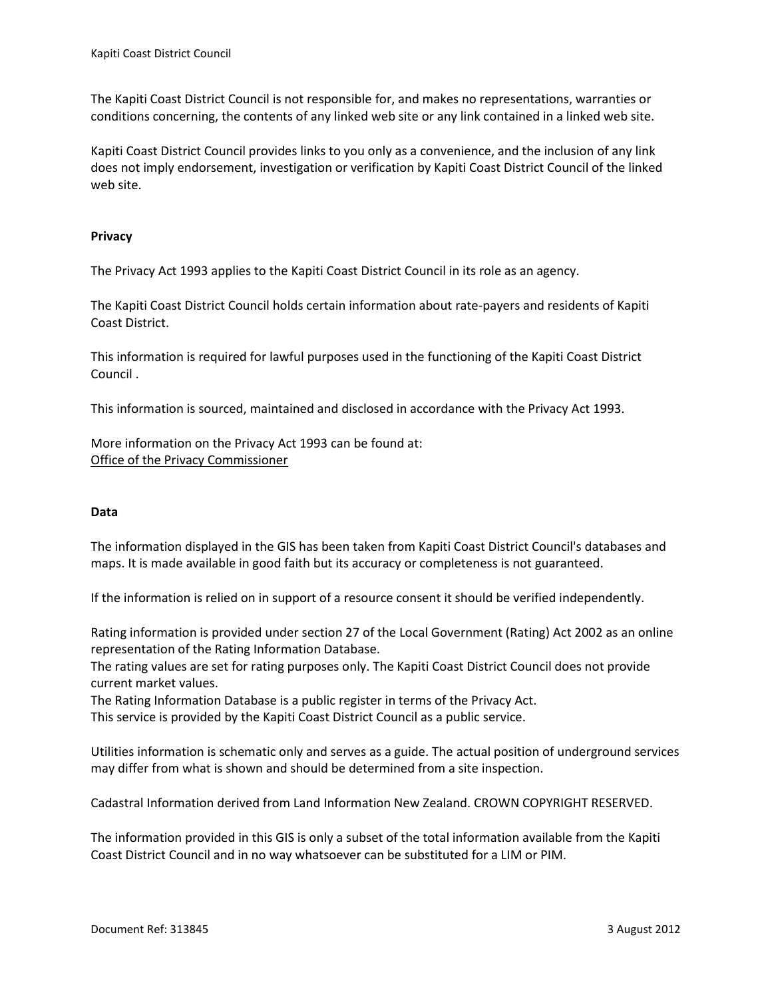The Kapiti Coast District Council is not responsible for, and makes no representations, warranties or conditions concerning, the contents of any linked web site or any link contained in a linked web site.

Kapiti Coast District Council provides links to you only as a convenience, and the inclusion of any link does not imply endorsement, investigation or verification by Kapiti Coast District Council of the linked web site.

## **Privacy**

The Privacy Act 1993 applies to the Kapiti Coast District Council in its role as an agency.

The Kapiti Coast District Council holds certain information about rate-payers and residents of Kapiti Coast District.

This information is required for lawful purposes used in the functioning of the Kapiti Coast District Council .

This information is sourced, maintained and disclosed in accordance with the Privacy Act 1993.

More information on the Privacy Act 1993 can be found at: [Office of the Privacy Commissioner](http://www.knowledge-basket.co.nz/privacy/top.html)

#### **Data**

The information displayed in the GIS has been taken from Kapiti Coast District Council's databases and maps. It is made available in good faith but its accuracy or completeness is not guaranteed.

If the information is relied on in support of a resource consent it should be verified independently.

Rating information is provided under section 27 of the Local Government (Rating) Act 2002 as an online representation of the Rating Information Database.

The rating values are set for rating purposes only. The Kapiti Coast District Council does not provide current market values.

The Rating Information Database is a public register in terms of the Privacy Act.

This service is provided by the Kapiti Coast District Council as a public service.

Utilities information is schematic only and serves as a guide. The actual position of underground services may differ from what is shown and should be determined from a site inspection.

Cadastral Information derived from Land Information New Zealand. CROWN COPYRIGHT RESERVED.

The information provided in this GIS is only a subset of the total information available from the Kapiti Coast District Council and in no way whatsoever can be substituted for a LIM or PIM.